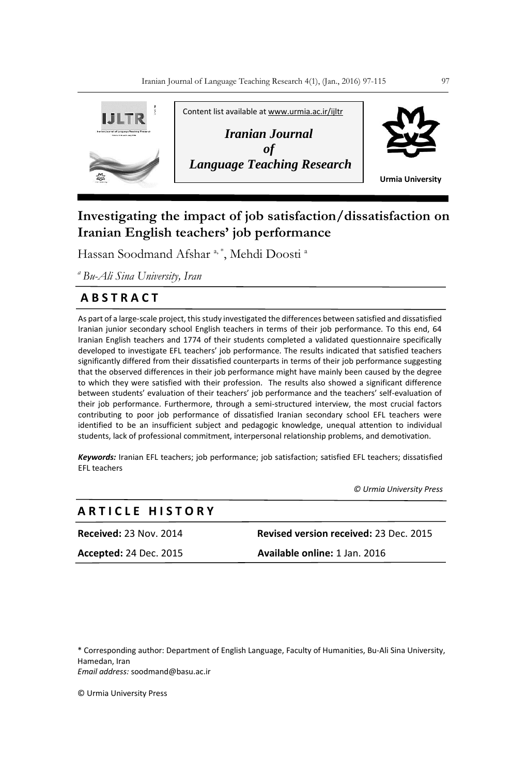

## **Investigating the impact of job satisfaction/dissatisfaction on Iranian English teachers' job performance**

Hassan Soodmand Afshar<sup>a,\*</sup>, Mehdi Doosti<sup>a</sup>

*<sup>a</sup>Bu-Ali Sina University, Iran*

## **A B S T R A C T**

As part of a large-scale project, this study investigated the differences between satisfied and dissatisfied Iranian junior secondary school English teachers in terms of their job performance. To this end, 64 Iranian English teachers and 1774 of their students completed a validated questionnaire specifically developed to investigate EFL teachers' job performance. The results indicated that satisfied teachers significantly differed from their dissatisfied counterparts in terms of their job performance suggesting that the observed differences in their job performance might have mainly been caused by the degree to which they were satisfied with their profession. The results also showed a significant difference between students' evaluation of their teachers' job performance and the teachers' self-evaluation of their job performance. Furthermore, through a semi-structured interview, the most crucial factors contributing to poor job performance of dissatisfied Iranian secondary school EFL teachers were identified to be an insufficient subject and pedagogic knowledge, unequal attention to individual students, lack of professional commitment, interpersonal relationship problems, and demotivation.

*Keywords:* Iranian EFL teachers; job performance; job satisfaction; satisfied EFL teachers; dissatisfied EFL teachers

 *© Urmia University Press*

# **A R T I C L E H I S T O R Y**

**Received:** 23 Nov. 2014 **Revised version received:** 23 Dec. 2015 **Accepted:** 24 Dec. 2015 **Available online:** 1 Jan. 2016

\* Corresponding author: Department of English Language, Faculty of Humanities, Bu-Ali Sina University, Hamedan, Iran *Email address:* soodmand@basu.ac.ir

© Urmia University Press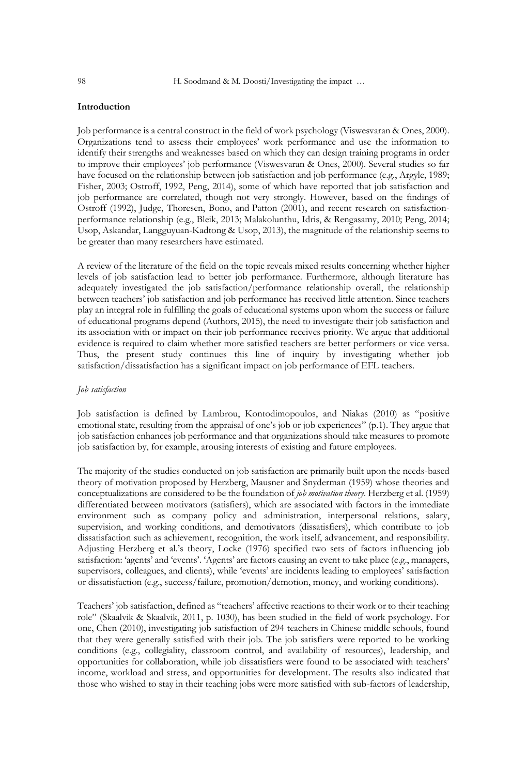## **Introduction**

Job performance is a central construct in the field of work psychology (Viswesvaran & Ones, 2000). Organizations tend to assess their employees' work performance and use the information to identify their strengths and weaknesses based on which they can design training programs in order to improve their employees' job performance (Viswesvaran & Ones, 2000). Several studies so far have focused on the relationship between job satisfaction and job performance (e.g., Argyle, 1989; Fisher, 2003; Ostroff, 1992, Peng, 2014), some of which have reported that job satisfaction and job performance are correlated, though not very strongly. However, based on the findings of Ostroff (1992), Judge, Thoresen, Bono, and Patton (2001), and recent research on satisfactionperformance relationship (e.g., Bleik, 2013; Malakolunthu, Idris, & Rengasamy, 2010; Peng, 2014; Usop, Askandar, Langguyuan-Kadtong & Usop, 2013), the magnitude of the relationship seems to be greater than many researchers have estimated.

A review of the literature of the field on the topic reveals mixed results concerning whether higher levels of job satisfaction lead to better job performance. Furthermore, although literature has adequately investigated the job satisfaction/performance relationship overall, the relationship between teachers' job satisfaction and job performance has received little attention. Since teachers play an integral role in fulfilling the goals of educational systems upon whom the success or failure of educational programs depend (Authors, 2015), the need to investigate their job satisfaction and its association with or impact on their job performance receives priority. We argue that additional evidence is required to claim whether more satisfied teachers are better performers or vice versa. Thus, the present study continues this line of inquiry by investigating whether job satisfaction/dissatisfaction has a significant impact on job performance of EFL teachers.

## *Job satisfaction*

Job satisfaction is defined by Lambrou, Kontodimopoulos, and Niakas (2010) as "positive emotional state, resulting from the appraisal of one's job or job experiences" (p.1). They argue that job satisfaction enhances job performance and that organizations should take measures to promote job satisfaction by, for example, arousing interests of existing and future employees.

The majority of the studies conducted on job satisfaction are primarily built upon the needs-based theory of motivation proposed by Herzberg, Mausner and Snyderman (1959) whose theories and conceptualizations are considered to be the foundation of *job motivation theory*. Herzberg et al. (1959) differentiated between motivators (satisfiers), which are associated with factors in the immediate environment such as company policy and administration, interpersonal relations, salary, supervision, and working conditions, and demotivators (dissatisfiers), which contribute to job dissatisfaction such as achievement, recognition, the work itself, advancement, and responsibility. Adjusting Herzberg et al.'s theory, Locke (1976) specified two sets of factors influencing job satisfaction: 'agents' and 'events'. 'Agents' are factors causing an event to take place (e.g., managers, supervisors, colleagues, and clients), while 'events' are incidents leading to employees' satisfaction or dissatisfaction (e.g., success/failure, promotion/demotion, money, and working conditions).

Teachers' job satisfaction, defined as "teachers' affective reactions to their work or to their teaching role" (Skaalvik & Skaalvik, 2011, p. 1030), has been studied in the field of work psychology. For one, Chen (2010), investigating job satisfaction of 294 teachers in Chinese middle schools, found that they were generally satisfied with their job. The job satisfiers were reported to be working conditions (e.g., collegiality, classroom control, and availability of resources), leadership, and opportunities for collaboration, while job dissatisfiers were found to be associated with teachers' income, workload and stress, and opportunities for development. The results also indicated that those who wished to stay in their teaching jobs were more satisfied with sub-factors of leadership,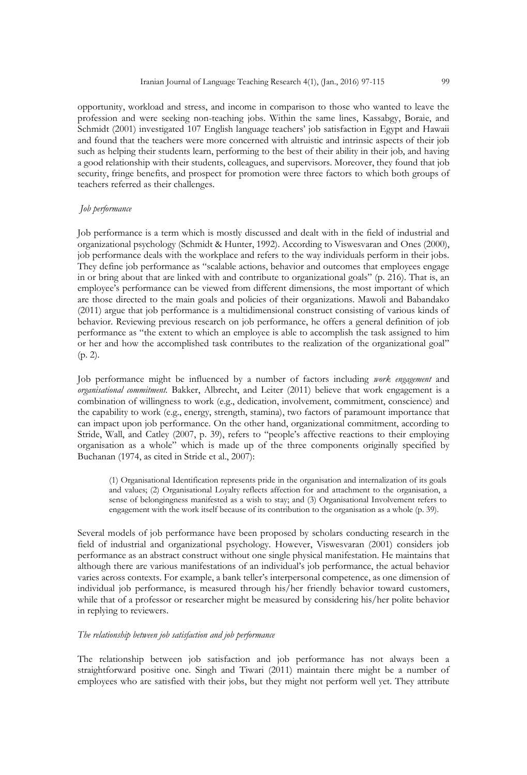opportunity, workload and stress, and income in comparison to those who wanted to leave the profession and were seeking non-teaching jobs. Within the same lines, Kassabgy, Boraie, and Schmidt (2001) investigated 107 English language teachers' job satisfaction in Egypt and Hawaii and found that the teachers were more concerned with altruistic and intrinsic aspects of their job such as helping their students learn, performing to the best of their ability in their job, and having a good relationship with their students, colleagues, and supervisors. Moreover, they found that job security, fringe benefits, and prospect for promotion were three factors to which both groups of teachers referred as their challenges.

#### *Job performance*

Job performance is a term which is mostly discussed and dealt with in the field of industrial and organizational psychology (Schmidt & Hunter, 1992). According to Viswesvaran and Ones (2000), job performance deals with the workplace and refers to the way individuals perform in their jobs. They define job performance as "scalable actions, behavior and outcomes that employees engage in or bring about that are linked with and contribute to organizational goals" (p. 216). That is, an employee's performance can be viewed from different dimensions, the most important of which are those directed to the main goals and policies of their organizations. Mawoli and Babandako (2011) argue that job performance is a multidimensional construct consisting of various kinds of behavior. Reviewing previous research on job performance, he offers a general definition of job performance as "the extent to which an employee is able to accomplish the task assigned to him or her and how the accomplished task contributes to the realization of the organizational goal" (p. 2).

Job performance might be influenced by a number of factors including *work engagement* and *organisational commitment.* Bakker, Albrecht, and Leiter (2011) believe that work engagement is a combination of willingness to work (e.g., dedication, involvement, commitment, conscience) and the capability to work (e.g., energy, strength, stamina), two factors of paramount importance that can impact upon job performance. On the other hand, organizational commitment, according to Stride, Wall, and Catley (2007, p. 39), refers to "people's affective reactions to their employing organisation as a whole" which is made up of the three components originally specified by Buchanan (1974, as cited in Stride et al., 2007):

(1) Organisational Identification represents pride in the organisation and internalization of its goals and values; (2) Organisational Loyalty reflects affection for and attachment to the organisation, a sense of belongingness manifested as a wish to stay; and (3) Organisational Involvement refers to engagement with the work itself because of its contribution to the organisation as a whole (p. 39).

Several models of job performance have been proposed by scholars conducting research in the field of industrial and organizational psychology. However, Viswesvaran (2001) considers job performance as an abstract construct without one single physical manifestation. He maintains that although there are various manifestations of an individual's job performance, the actual behavior varies across contexts. For example, a bank teller's interpersonal competence, as one dimension of individual job performance, is measured through his/her friendly behavior toward customers, while that of a professor or researcher might be measured by considering his/her polite behavior in replying to reviewers.

### *The relationship between job satisfaction and job performance*

The relationship between job satisfaction and job performance has not always been a straightforward positive one. Singh and Tiwari (2011) maintain there might be a number of employees who are satisfied with their jobs, but they might not perform well yet. They attribute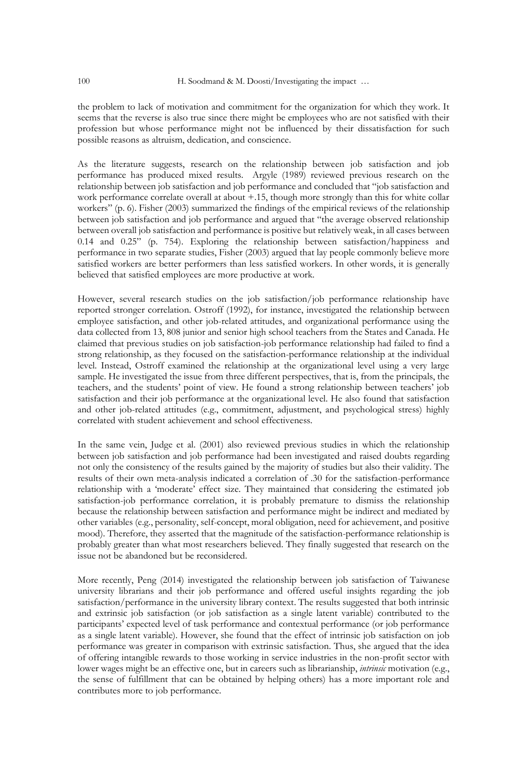the problem to lack of motivation and commitment for the organization for which they work. It seems that the reverse is also true since there might be employees who are not satisfied with their profession but whose performance might not be influenced by their dissatisfaction for such possible reasons as altruism, dedication, and conscience.

As the literature suggests, research on the relationship between job satisfaction and job performance has produced mixed results. Argyle (1989) reviewed previous research on the relationship between job satisfaction and job performance and concluded that "job satisfaction and work performance correlate overall at about +.15, though more strongly than this for white collar workers" (p. 6). Fisher (2003) summarized the findings of the empirical reviews of the relationship between job satisfaction and job performance and argued that "the average observed relationship between overall job satisfaction and performance is positive but relatively weak, in all cases between 0.14 and 0.25" (p. 754). Exploring the relationship between satisfaction/happiness and performance in two separate studies, Fisher (2003) argued that lay people commonly believe more satisfied workers are better performers than less satisfied workers. In other words, it is generally believed that satisfied employees are more productive at work.

However, several research studies on the job satisfaction/job performance relationship have reported stronger correlation. Ostroff (1992), for instance, investigated the relationship between employee satisfaction, and other job-related attitudes, and organizational performance using the data collected from 13, 808 junior and senior high school teachers from the States and Canada. He claimed that previous studies on job satisfaction-job performance relationship had failed to find a strong relationship, as they focused on the satisfaction-performance relationship at the individual level. Instead, Ostroff examined the relationship at the organizational level using a very large sample. He investigated the issue from three different perspectives, that is, from the principals, the teachers, and the students' point of view. He found a strong relationship between teachers' job satisfaction and their job performance at the organizational level. He also found that satisfaction and other job-related attitudes (e.g., commitment, adjustment, and psychological stress) highly correlated with student achievement and school effectiveness.

In the same vein, Judge et al. (2001) also reviewed previous studies in which the relationship between job satisfaction and job performance had been investigated and raised doubts regarding not only the consistency of the results gained by the majority of studies but also their validity. The results of their own meta-analysis indicated a correlation of .30 for the satisfaction-performance relationship with a 'moderate' effect size. They maintained that considering the estimated job satisfaction-job performance correlation, it is probably premature to dismiss the relationship because the relationship between satisfaction and performance might be indirect and mediated by other variables (e.g., personality, self-concept, moral obligation, need for achievement, and positive mood). Therefore, they asserted that the magnitude of the satisfaction-performance relationship is probably greater than what most researchers believed. They finally suggested that research on the issue not be abandoned but be reconsidered.

More recently, Peng (2014) investigated the relationship between job satisfaction of Taiwanese university librarians and their job performance and offered useful insights regarding the job satisfaction/performance in the university library context. The results suggested that both intrinsic and extrinsic job satisfaction (or job satisfaction as a single latent variable) contributed to the participants' expected level of task performance and contextual performance (or job performance as a single latent variable). However, she found that the effect of intrinsic job satisfaction on job performance was greater in comparison with extrinsic satisfaction. Thus, she argued that the idea of offering intangible rewards to those working in service industries in the non-profit sector with lower wages might be an effective one, but in careers such as librarianship, *intrinsic* motivation (e.g., the sense of fulfillment that can be obtained by helping others) has a more important role and contributes more to job performance.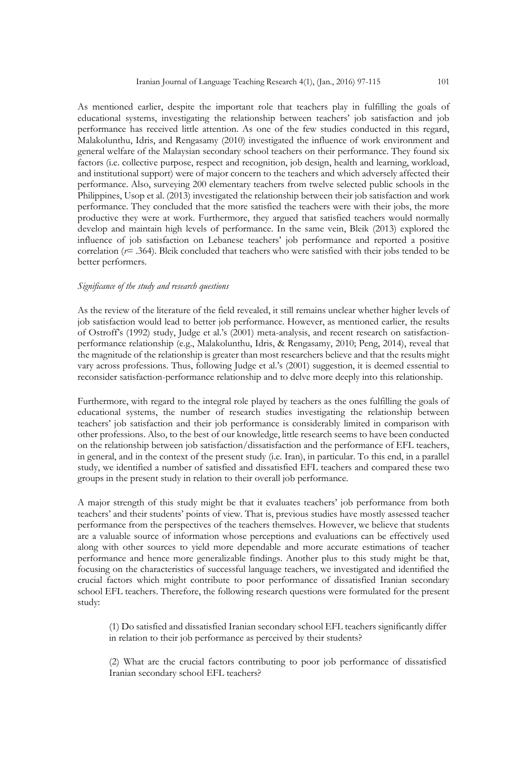As mentioned earlier, despite the important role that teachers play in fulfilling the goals of educational systems, investigating the relationship between teachers' job satisfaction and job performance has received little attention. As one of the few studies conducted in this regard, Malakolunthu, Idris, and Rengasamy (2010) investigated the influence of work environment and general welfare of the Malaysian secondary school teachers on their performance. They found six factors (i.e. collective purpose, respect and recognition, job design, health and learning, workload, and institutional support) were of major concern to the teachers and which adversely affected their performance. Also, surveying 200 elementary teachers from twelve selected public schools in the Philippines, Usop et al. (2013) investigated the relationship between their job satisfaction and work performance. They concluded that the more satisfied the teachers were with their jobs, the more productive they were at work. Furthermore, they argued that satisfied teachers would normally develop and maintain high levels of performance. In the same vein, Bleik (2013) explored the influence of job satisfaction on Lebanese teachers' job performance and reported a positive correlation (*r*= .364). Bleik concluded that teachers who were satisfied with their jobs tended to be better performers.

#### *Significance of the study and research questions*

As the review of the literature of the field revealed, it still remains unclear whether higher levels of job satisfaction would lead to better job performance. However, as mentioned earlier, the results of Ostroff's (1992) study, Judge et al.'s (2001) meta-analysis, and recent research on satisfactionperformance relationship (e.g., Malakolunthu, Idris, & Rengasamy, 2010; Peng, 2014), reveal that the magnitude of the relationship is greater than most researchers believe and that the results might vary across professions. Thus, following Judge et al.'s (2001) suggestion, it is deemed essential to reconsider satisfaction-performance relationship and to delve more deeply into this relationship.

Furthermore, with regard to the integral role played by teachers as the ones fulfilling the goals of educational systems, the number of research studies investigating the relationship between teachers' job satisfaction and their job performance is considerably limited in comparison with other professions. Also, to the best of our knowledge, little research seems to have been conducted on the relationship between job satisfaction/dissatisfaction and the performance of EFL teachers, in general, and in the context of the present study (i.e. Iran), in particular. To this end, in a parallel study, we identified a number of satisfied and dissatisfied EFL teachers and compared these two groups in the present study in relation to their overall job performance.

A major strength of this study might be that it evaluates teachers' job performance from both teachers' and their students' points of view. That is, previous studies have mostly assessed teacher performance from the perspectives of the teachers themselves. However, we believe that students are a valuable source of information whose perceptions and evaluations can be effectively used along with other sources to yield more dependable and more accurate estimations of teacher performance and hence more generalizable findings. Another plus to this study might be that, focusing on the characteristics of successful language teachers, we investigated and identified the crucial factors which might contribute to poor performance of dissatisfied Iranian secondary school EFL teachers. Therefore, the following research questions were formulated for the present study:

(1) Do satisfied and dissatisfied Iranian secondary school EFL teachers significantly differ in relation to their job performance as perceived by their students?

(2) What are the crucial factors contributing to poor job performance of dissatisfied Iranian secondary school EFL teachers?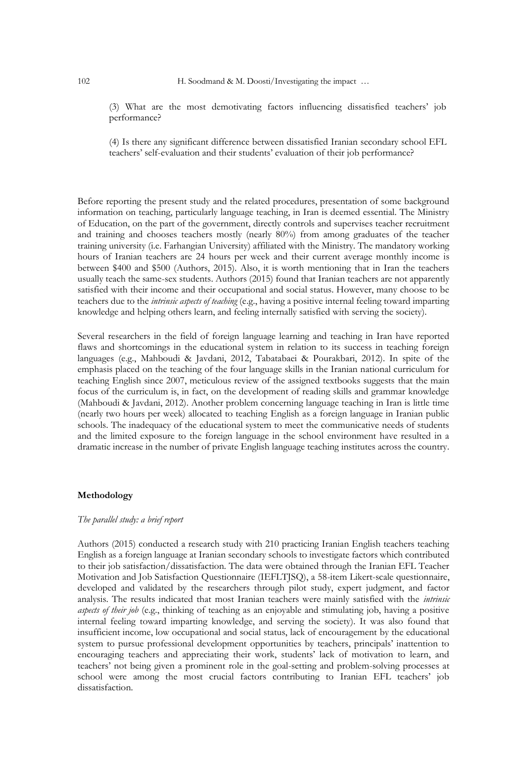(3) What are the most demotivating factors influencing dissatisfied teachers' job performance?

(4) Is there any significant difference between dissatisfied Iranian secondary school EFL teachers' self-evaluation and their students' evaluation of their job performance?

Before reporting the present study and the related procedures, presentation of some background information on teaching, particularly language teaching, in Iran is deemed essential. The Ministry of Education, on the part of the government, directly controls and supervises teacher recruitment and training and chooses teachers mostly (nearly 80%) from among graduates of the teacher training university (i.e. Farhangian University) affiliated with the Ministry. The mandatory working hours of Iranian teachers are 24 hours per week and their current average monthly income is between \$400 and \$500 (Authors, 2015). Also, it is worth mentioning that in Iran the teachers usually teach the same-sex students. Authors (2015) found that Iranian teachers are not apparently satisfied with their income and their occupational and social status. However, many choose to be teachers due to the *intrinsic aspects of teaching* (e.g., having a positive internal feeling toward imparting knowledge and helping others learn, and feeling internally satisfied with serving the society).

Several researchers in the field of foreign language learning and teaching in Iran have reported flaws and shortcomings in the educational system in relation to its success in teaching foreign languages (e.g., Mahboudi & Javdani, 2012, Tabatabaei & Pourakbari, 2012). In spite of the emphasis placed on the teaching of the four language skills in the Iranian national curriculum for teaching English since 2007, meticulous review of the assigned textbooks suggests that the main focus of the curriculum is, in fact, on the development of reading skills and grammar knowledge (Mahboudi & Javdani, 2012). Another problem concerning language teaching in Iran is little time (nearly two hours per week) allocated to teaching English as a foreign language in Iranian public schools. The inadequacy of the educational system to meet the communicative needs of students and the limited exposure to the foreign language in the school environment have resulted in a dramatic increase in the number of private English language teaching institutes across the country.

#### **Methodology**

## *The parallel study: a brief report*

Authors (2015) conducted a research study with 210 practicing Iranian English teachers teaching English as a foreign language at Iranian secondary schools to investigate factors which contributed to their job satisfaction/dissatisfaction. The data were obtained through the Iranian EFL Teacher Motivation and Job Satisfaction Questionnaire (IEFLTJSQ), a 58-item Likert-scale questionnaire, developed and validated by the researchers through pilot study, expert judgment, and factor analysis. The results indicated that most Iranian teachers were mainly satisfied with the *intrinsic aspects of their job* (e.g., thinking of teaching as an enjoyable and stimulating job, having a positive internal feeling toward imparting knowledge, and serving the society). It was also found that insufficient income, low occupational and social status, lack of encouragement by the educational system to pursue professional development opportunities by teachers, principals' inattention to encouraging teachers and appreciating their work, students' lack of motivation to learn, and teachers' not being given a prominent role in the goal-setting and problem-solving processes at school were among the most crucial factors contributing to Iranian EFL teachers' job dissatisfaction.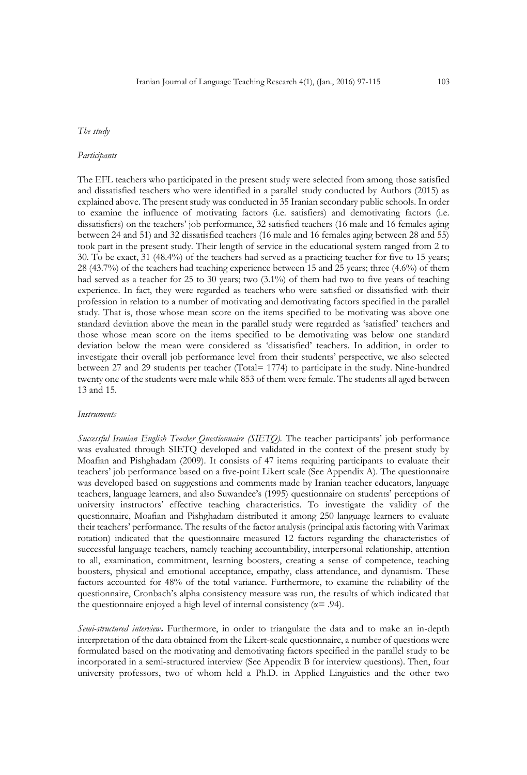## *The study*

#### *Participants*

The EFL teachers who participated in the present study were selected from among those satisfied and dissatisfied teachers who were identified in a parallel study conducted by Authors (2015) as explained above. The present study was conducted in 35 Iranian secondary public schools. In order to examine the influence of motivating factors (i.e. satisfiers) and demotivating factors (i.e. dissatisfiers) on the teachers' job performance, 32 satisfied teachers (16 male and 16 females aging between 24 and 51) and 32 dissatisfied teachers (16 male and 16 females aging between 28 and 55) took part in the present study. Their length of service in the educational system ranged from 2 to 30. To be exact, 31 (48.4%) of the teachers had served as a practicing teacher for five to 15 years; 28 (43.7%) of the teachers had teaching experience between 15 and 25 years; three (4.6%) of them had served as a teacher for 25 to 30 years; two (3.1%) of them had two to five years of teaching experience. In fact, they were regarded as teachers who were satisfied or dissatisfied with their profession in relation to a number of motivating and demotivating factors specified in the parallel study. That is, those whose mean score on the items specified to be motivating was above one standard deviation above the mean in the parallel study were regarded as 'satisfied' teachers and those whose mean score on the items specified to be demotivating was below one standard deviation below the mean were considered as 'dissatisfied' teachers. In addition, in order to investigate their overall job performance level from their students' perspective, we also selected between 27 and 29 students per teacher (Total= 1774) to participate in the study. Nine-hundred twenty one of the students were male while 853 of them were female. The students all aged between 13 and 15.

#### *Instruments*

*Successful Iranian English Teacher Questionnaire (SIETQ).* The teacher participants' job performance was evaluated through SIETQ developed and validated in the context of the present study by Moafian and Pishghadam (2009). It consists of 47 items requiring participants to evaluate their teachers' job performance based on a five-point Likert scale (See Appendix A). The questionnaire was developed based on suggestions and comments made by Iranian teacher educators, language teachers, language learners, and also Suwandee's (1995) questionnaire on students' perceptions of university instructors' effective teaching characteristics. To investigate the validity of the questionnaire, Moafian and Pishghadam distributed it among 250 language learners to evaluate their teachers' performance. The results of the factor analysis (principal axis factoring with Varimax rotation) indicated that the questionnaire measured 12 factors regarding the characteristics of successful language teachers, namely teaching accountability, interpersonal relationship, attention to all, examination, commitment, learning boosters, creating a sense of competence, teaching boosters, physical and emotional acceptance, empathy, class attendance, and dynamism. These factors accounted for 48% of the total variance. Furthermore, to examine the reliability of the questionnaire, Cronbach's alpha consistency measure was run, the results of which indicated that the questionnaire enjoyed a high level of internal consistency ( $\alpha$ = .94).

*Semi-structured interview***.** Furthermore, in order to triangulate the data and to make an in-depth interpretation of the data obtained from the Likert-scale questionnaire, a number of questions were formulated based on the motivating and demotivating factors specified in the parallel study to be incorporated in a semi-structured interview (See Appendix B for interview questions). Then, four university professors, two of whom held a Ph.D. in Applied Linguistics and the other two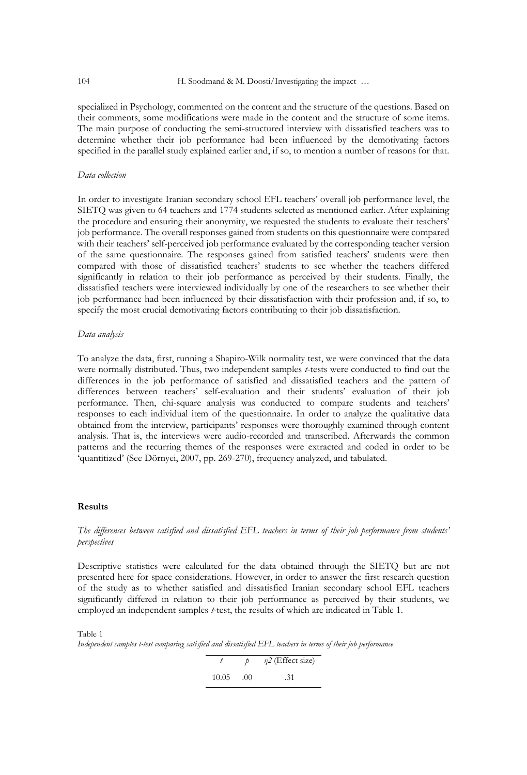specialized in Psychology, commented on the content and the structure of the questions. Based on their comments, some modifications were made in the content and the structure of some items. The main purpose of conducting the semi-structured interview with dissatisfied teachers was to determine whether their job performance had been influenced by the demotivating factors specified in the parallel study explained earlier and, if so, to mention a number of reasons for that.

## *Data collection*

In order to investigate Iranian secondary school EFL teachers' overall job performance level, the SIETQ was given to 64 teachers and 1774 students selected as mentioned earlier. After explaining the procedure and ensuring their anonymity, we requested the students to evaluate their teachers' job performance. The overall responses gained from students on this questionnaire were compared with their teachers' self-perceived job performance evaluated by the corresponding teacher version of the same questionnaire. The responses gained from satisfied teachers' students were then compared with those of dissatisfied teachers' students to see whether the teachers differed significantly in relation to their job performance as perceived by their students. Finally, the dissatisfied teachers were interviewed individually by one of the researchers to see whether their job performance had been influenced by their dissatisfaction with their profession and, if so, to specify the most crucial demotivating factors contributing to their job dissatisfaction.

#### *Data analysis*

To analyze the data, first, running a Shapiro-Wilk normality test, we were convinced that the data were normally distributed. Thus, two independent samples *t*-tests were conducted to find out the differences in the job performance of satisfied and dissatisfied teachers and the pattern of differences between teachers' self-evaluation and their students' evaluation of their job performance. Then, chi-square analysis was conducted to compare students and teachers' responses to each individual item of the questionnaire. In order to analyze the qualitative data obtained from the interview, participants' responses were thoroughly examined through content analysis. That is, the interviews were audio-recorded and transcribed. Afterwards the common patterns and the recurring themes of the responses were extracted and coded in order to be 'quantitized' (See Dörnyei, 2007, pp. 269-270), frequency analyzed, and tabulated.

## **Results**

## *The differences between satisfied and dissatisfied EFL teachers in terms of their job performance from students' perspectives*

Descriptive statistics were calculated for the data obtained through the SIETQ but are not presented here for space considerations. However, in order to answer the first research question of the study as to whether satisfied and dissatisfied Iranian secondary school EFL teachers significantly differed in relation to their job performance as perceived by their students, we employed an independent samples *t*-test, the results of which are indicated in Table 1.

#### Table 1

*Independent samples t-test comparing satisfied and dissatisfied EFL teachers in terms of their job performance*

 $t$  *p η2* (Effect size) 10.05 .00 .31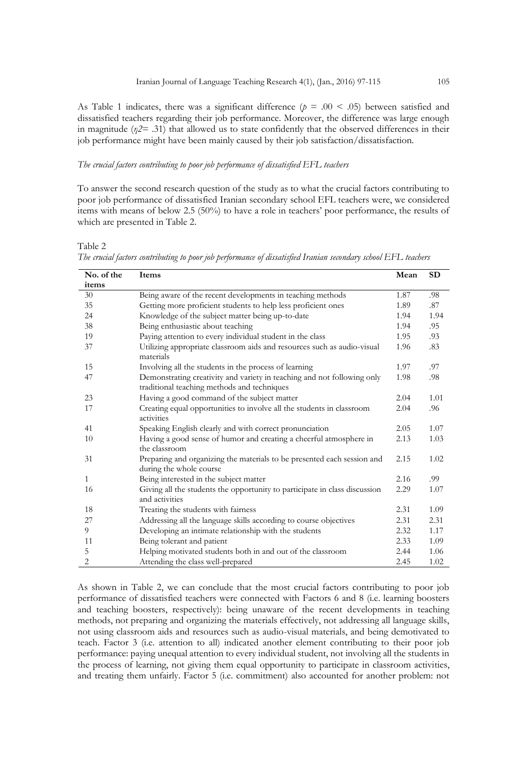As Table 1 indicates, there was a significant difference ( $p = .00 \le .05$ ) between satisfied and dissatisfied teachers regarding their job performance. Moreover, the difference was large enough in magnitude (*η2*= .31) that allowed us to state confidently that the observed differences in their job performance might have been mainly caused by their job satisfaction/dissatisfaction.

#### *The crucial factors contributing to poor job performance of dissatisfied EFL teachers*

To answer the second research question of the study as to what the crucial factors contributing to poor job performance of dissatisfied Iranian secondary school EFL teachers were, we considered items with means of below 2.5 (50%) to have a role in teachers' poor performance, the results of which are presented in Table 2.

Table 2 *The crucial factors contributing to poor job performance of dissatisfied Iranian secondary school EFL teachers* 

| No. of the | Items                                                                                                                  | Mean | <b>SD</b> |
|------------|------------------------------------------------------------------------------------------------------------------------|------|-----------|
| items      |                                                                                                                        |      |           |
| 30         | Being aware of the recent developments in teaching methods                                                             | 1.87 | .98       |
| 35         | Getting more proficient students to help less proficient ones                                                          | 1.89 | .87       |
| 24         | Knowledge of the subject matter being up-to-date                                                                       | 1.94 | 1.94      |
| 38         | Being enthusiastic about teaching                                                                                      | 1.94 | .95       |
| 19         | Paying attention to every individual student in the class                                                              | 1.95 | .93       |
| 37         | Utilizing appropriate classroom aids and resources such as audio-visual<br>materials                                   | 1.96 | .83       |
| 15         | Involving all the students in the process of learning                                                                  | 1.97 | .97       |
| 47         | Demonstrating creativity and variety in teaching and not following only<br>traditional teaching methods and techniques | 1.98 | .98       |
| 23         | Having a good command of the subject matter                                                                            | 2.04 | 1.01      |
| 17         | Creating equal opportunities to involve all the students in classroom<br>activities                                    | 2.04 | .96       |
| 41         | Speaking English clearly and with correct pronunciation                                                                | 2.05 | 1.07      |
| 10         | Having a good sense of humor and creating a cheerful atmosphere in<br>the classroom                                    | 2.13 | 1.03      |
| 31         | Preparing and organizing the materials to be presented each session and<br>during the whole course                     | 2.15 | 1.02      |
| 1          | Being interested in the subject matter                                                                                 | 2.16 | .99       |
| 16         | Giving all the students the opportunity to participate in class discussion<br>and activities                           | 2.29 | 1.07      |
| 18         | Treating the students with fairness                                                                                    | 2.31 | 1.09      |
| 27         | Addressing all the language skills according to course objectives                                                      | 2.31 | 2.31      |
| 9          | Developing an intimate relationship with the students                                                                  | 2.32 | 1.17      |
| 11         | Being tolerant and patient                                                                                             | 2.33 | 1.09      |
| 5          | Helping motivated students both in and out of the classroom                                                            | 2.44 | 1.06      |
| 2          | Attending the class well-prepared                                                                                      | 2.45 | 1.02      |

As shown in Table 2, we can conclude that the most crucial factors contributing to poor job performance of dissatisfied teachers were connected with Factors 6 and 8 (i.e. learning boosters and teaching boosters, respectively): being unaware of the recent developments in teaching methods, not preparing and organizing the materials effectively, not addressing all language skills, not using classroom aids and resources such as audio-visual materials, and being demotivated to teach. Factor 3 (i.e. attention to all) indicated another element contributing to their poor job performance: paying unequal attention to every individual student, not involving all the students in the process of learning, not giving them equal opportunity to participate in classroom activities, and treating them unfairly. Factor 5 (i.e. commitment) also accounted for another problem: not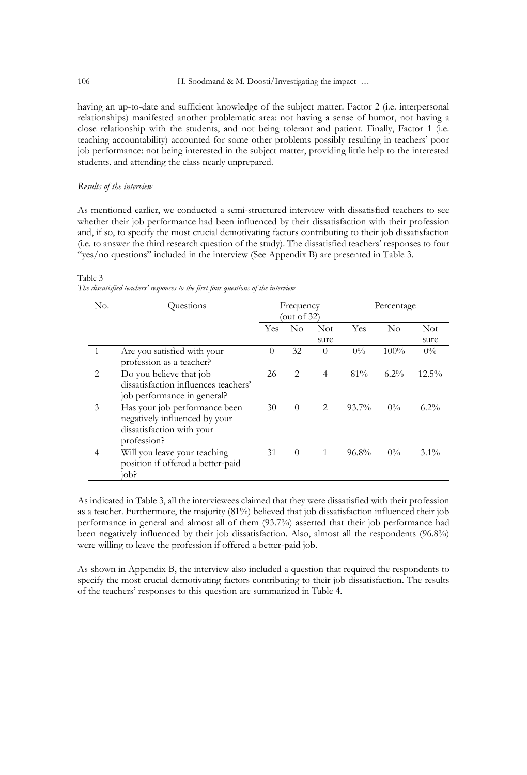having an up-to-date and sufficient knowledge of the subject matter. Factor 2 (i.e. interpersonal relationships) manifested another problematic area: not having a sense of humor, not having a close relationship with the students, and not being tolerant and patient. Finally, Factor 1 (i.e. teaching accountability) accounted for some other problems possibly resulting in teachers' poor job performance: not being interested in the subject matter, providing little help to the interested students, and attending the class nearly unprepared.

## *Results of the interview*

As mentioned earlier, we conducted a semi-structured interview with dissatisfied teachers to see whether their job performance had been influenced by their dissatisfaction with their profession and, if so, to specify the most crucial demotivating factors contributing to their job dissatisfaction (i.e. to answer the third research question of the study). The dissatisfied teachers' responses to four "yes/no questions" included in the interview (See Appendix B) are presented in Table 3.

## Table 3

*The dissatisfied teachers' responses to the first four questions of the interview*

| No. | Ouestions                                                                                                  | Frequency<br>(out of $32$ ) |                |                    | Percentage |         |                    |
|-----|------------------------------------------------------------------------------------------------------------|-----------------------------|----------------|--------------------|------------|---------|--------------------|
|     |                                                                                                            | Yes                         | N <sub>0</sub> | <b>Not</b><br>sure | Yes        | No      | <b>Not</b><br>sure |
|     | Are you satisfied with your<br>profession as a teacher?                                                    | $\theta$                    | 32             | 0                  | $0\%$      | 100%    | $0\%$              |
| 2   | Do you believe that job<br>dissatisfaction influences teachers'<br>job performance in general?             | 26                          | 2              | 4                  | $81\%$     | $6.2\%$ | $12.5\%$           |
| 3   | Has your job performance been<br>negatively influenced by your<br>dissatisfaction with your<br>profession? | 30                          | $\Omega$       | 2                  | $93.7\%$   | $0\%$   | $6.2\%$            |
| 4   | Will you leave your teaching<br>position if offered a better-paid<br>iob?                                  | 31                          | $\Omega$       | 1                  | $96.8\%$   | $0\%$   | $3.1\%$            |

As indicated in Table 3, all the interviewees claimed that they were dissatisfied with their profession as a teacher. Furthermore, the majority (81%) believed that job dissatisfaction influenced their job performance in general and almost all of them (93.7%) asserted that their job performance had been negatively influenced by their job dissatisfaction. Also, almost all the respondents (96.8%) were willing to leave the profession if offered a better-paid job.

As shown in Appendix B, the interview also included a question that required the respondents to specify the most crucial demotivating factors contributing to their job dissatisfaction. The results of the teachers' responses to this question are summarized in Table 4.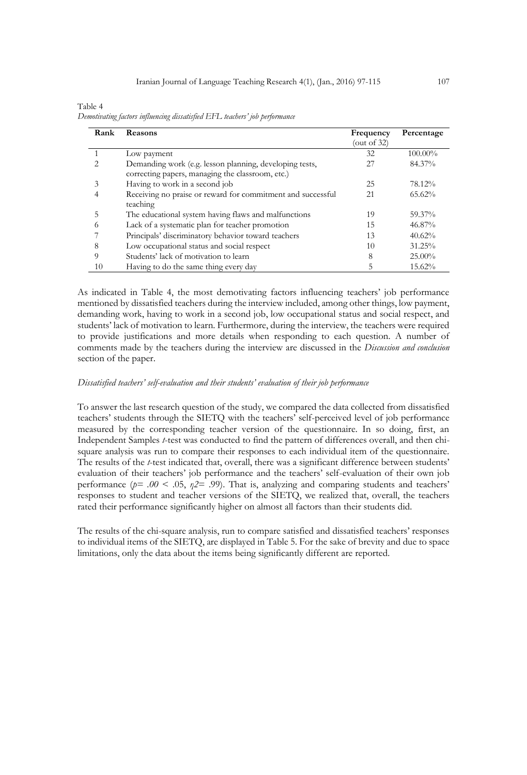| Table 4                                                                     |  |  |  |
|-----------------------------------------------------------------------------|--|--|--|
| Demotivating factors influencing dissatisfied EFL teachers' job performance |  |  |  |

| Rank | <b>Reasons</b>                                                                                              | Frequency<br>(out of 32) | Percentage |
|------|-------------------------------------------------------------------------------------------------------------|--------------------------|------------|
|      | Low payment                                                                                                 | 32                       | 100.00%    |
|      | Demanding work (e.g. lesson planning, developing tests,<br>correcting papers, managing the classroom, etc.) | 27                       | 84.37%     |
| 3    | Having to work in a second job                                                                              | 25                       | 78.12%     |
|      | Receiving no praise or reward for commitment and successful<br>teaching                                     | 21                       | $65.62\%$  |
| 5    | The educational system having flaws and malfunctions                                                        | 19                       | 59.37%     |
| 6    | Lack of a systematic plan for teacher promotion                                                             | 15                       | 46.87%     |
|      | Principals' discriminatory behavior toward teachers                                                         | 13                       | 40.62%     |
| 8    | Low occupational status and social respect                                                                  | 10                       | 31.25%     |
| 9    | Students' lack of motivation to learn                                                                       | 8                        | $25.00\%$  |
| 10   | Having to do the same thing every day                                                                       | 5                        | 15.62%     |

As indicated in Table 4, the most demotivating factors influencing teachers' job performance mentioned by dissatisfied teachers during the interview included, among other things, low payment, demanding work, having to work in a second job, low occupational status and social respect, and students' lack of motivation to learn. Furthermore, during the interview, the teachers were required to provide justifications and more details when responding to each question. A number of comments made by the teachers during the interview are discussed in the *Discussion and conclusion*  section of the paper.

## *Dissatisfied teachers' self-evaluation and their students' evaluation of their job performance*

To answer the last research question of the study, we compared the data collected from dissatisfied teachers' students through the SIETQ with the teachers' self-perceived level of job performance measured by the corresponding teacher version of the questionnaire. In so doing, first, an Independent Samples *t*-test was conducted to find the pattern of differences overall, and then chisquare analysis was run to compare their responses to each individual item of the questionnaire. The results of the *t*-test indicated that, overall, there was a significant difference between students' evaluation of their teachers' job performance and the teachers' self-evaluation of their own job performance ( $p=$  .00  $\lt$  .05,  $p2=$  .99). That is, analyzing and comparing students and teachers' responses to student and teacher versions of the SIETQ, we realized that, overall, the teachers rated their performance significantly higher on almost all factors than their students did.

The results of the chi-square analysis, run to compare satisfied and dissatisfied teachers' responses to individual items of the SIETQ, are displayed in Table 5. For the sake of brevity and due to space limitations, only the data about the items being significantly different are reported.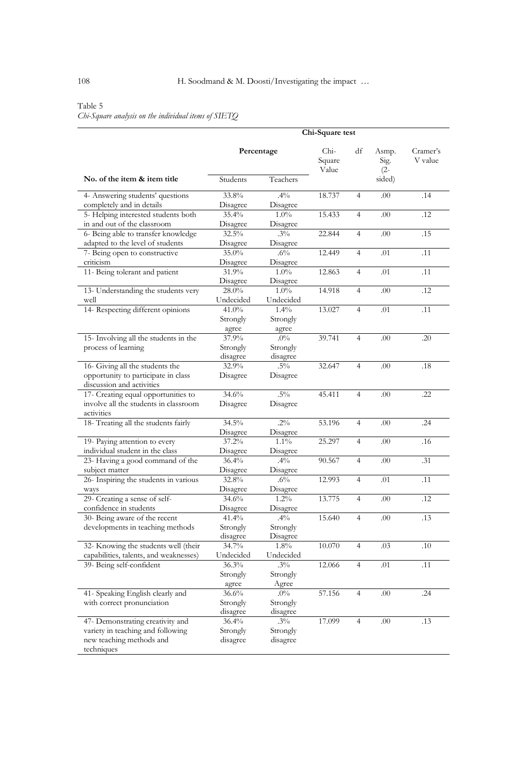## Table 5

*Chi-Square analysis on the individual items of SIETQ*

|                                                                                                                 | Chi-Square test               |                                |                         |                |                         |                     |
|-----------------------------------------------------------------------------------------------------------------|-------------------------------|--------------------------------|-------------------------|----------------|-------------------------|---------------------|
|                                                                                                                 | Percentage                    |                                | Chi-<br>Square<br>Value | df             | Asmp.<br>Sig.<br>$(2 -$ | Cramer's<br>V value |
| No. of the item & item title                                                                                    | Students                      | Teachers                       |                         |                | sided)                  |                     |
| 4- Answering students' questions<br>completely and in details                                                   | 33.8%<br>Disagree             | $.4\%$<br>Disagree             | 18.737                  | $\overline{4}$ | .00                     | .14                 |
| 5- Helping interested students both<br>in and out of the classroom                                              | 35.4%<br>Disagree             | 1.0%<br>Disagree               | 15.433                  | $\overline{4}$ | .00                     | .12                 |
| 6- Being able to transfer knowledge<br>adapted to the level of students                                         | 32.5%<br>Disagree             | $.3\%$<br>Disagree             | 22.844                  | $\overline{4}$ | .00                     | .15                 |
| 7- Being open to constructive<br>criticism                                                                      | 35.0%<br>Disagree             | $.6\%$<br>Disagree             | 12.449                  | $\overline{4}$ | .01                     | .11                 |
| 11- Being tolerant and patient                                                                                  | 31.9%<br>Disagree             | 1.0%<br>Disagree               | 12.863                  | $\overline{4}$ | .01                     | .11                 |
| 13- Understanding the students very<br>well                                                                     | 28.0%<br>Undecided            | 1.0%<br>Undecided              | 14.918                  | $\overline{4}$ | .00                     | .12                 |
| 14- Respecting different opinions                                                                               | 41.0%<br>Strongly<br>agree    | 1.4%<br>Strongly<br>agree      | 13.027                  | $\overline{4}$ | .01                     | .11                 |
| 15- Involving all the students in the<br>process of learning                                                    | 37.9%<br>Strongly<br>disagree | $.0\%$<br>Strongly<br>disagree | 39.741                  | $\overline{4}$ | .00                     | .20                 |
| 16- Giving all the students the<br>opportunity to participate in class<br>discussion and activities             | 32.9%<br>Disagree             | $.5\%$<br>Disagree             | 32.647                  | $\overline{4}$ | .00                     | .18                 |
| 17- Creating equal opportunities to<br>involve all the students in classroom<br>activities                      | 34.6%<br>Disagree             | $.5\%$<br>Disagree             | 45.411                  | $\overline{4}$ | .00                     | .22                 |
| 18- Treating all the students fairly                                                                            | 34.5%<br>Disagree             | $.2\%$<br>Disagree             | 53.196                  | $\overline{4}$ | .00                     | .24                 |
| 19- Paying attention to every<br>individual student in the class                                                | 37.2%<br>Disagree             | $1.1\%$<br>Disagree            | 25.297                  | $\overline{4}$ | .00                     | .16                 |
| 23- Having a good command of the<br>subject matter                                                              | 36.4%<br>Disagree             | $.4\%$<br>Disagree             | 90.567                  | $\overline{4}$ | .00                     | .31                 |
| 26- Inspiring the students in various<br>ways                                                                   | 32.8%<br>Disagree             | $.6\%$<br>Disagree             | 12.993                  | $\overline{4}$ | .01                     | .11                 |
| 29- Creating a sense of self-<br>confidence in students                                                         | 34.6%<br>Disagree             | $1.2\%$<br>Disagree            | 13.775                  | $\overline{4}$ | .00                     | .12                 |
| 30- Being aware of the recent<br>developments in teaching methods                                               | 41.4%<br>Strongly<br>disagree | $.4\%$<br>Strongly<br>Disagree | 15.640                  | $\overline{4}$ | .00                     | .13                 |
| 32- Knowing the students well (their<br>capabilities, talents, and weaknesses)                                  | 34.7%<br>Undecided            | 1.8%<br>Undecided              | 10.070                  | $\overline{4}$ | .03                     | .10                 |
| 39- Being self-confident                                                                                        | 36.3%<br>Strongly<br>agree    | $.3\%$<br>Strongly<br>Agree    | 12.066                  | $\overline{4}$ | .01                     | .11                 |
| 41- Speaking English clearly and<br>with correct pronunciation                                                  | 36.6%<br>Strongly<br>disagree | $.0\%$<br>Strongly<br>disagree | 57.156                  | $\overline{4}$ | .00                     | .24                 |
| 47- Demonstrating creativity and<br>variety in teaching and following<br>new teaching methods and<br>techniques | 36.4%<br>Strongly<br>disagree | $.3\%$<br>Strongly<br>disagree | 17.099                  | $\overline{4}$ | .00                     | .13                 |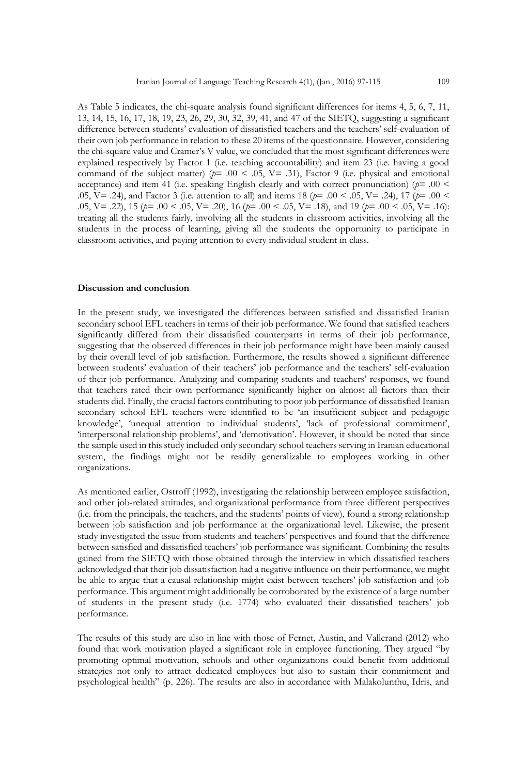As Table 5 indicates, the chi-square analysis found significant differences for items 4, 5, 6, 7, 11, 13, 14, 15, 16, 17, 18, 19, 23, 26, 29, 30, 32, 39, 41, and 47 of the SIETQ, suggesting a significant difference between students' evaluation of dissatisfied teachers and the teachers' self-evaluation of their own job performance in relation to these 20 items of the questionnaire. However, considering the chi-square value and Cramer's V value, we concluded that the most significant differences were explained respectively by Factor 1 (i.e. teaching accountability) and item 23 (i.e. having a good command of the subject matter) ( $p=$  .00 < .05, V= .31), Factor 9 (i.e. physical and emotional acceptance) and item 41 (i.e. speaking English clearly and with correct pronunciation) ( $p=$  .00  $\leq$ .05, V= .24), and Factor 3 (i.e. attention to all) and items 18 (*p*= .00 < .05, V= .24), 17 (*p*= .00 < .05, V= .22), 15 (*p*= .00 < .05, V= .20), 16 (*p*= .00 < .05, V= .18), and 19 (*p*= .00 < .05, V= .16): treating all the students fairly, involving all the students in classroom activities, involving all the students in the process of learning, giving all the students the opportunity to participate in classroom activities, and paying attention to every individual student in class.

### **Discussion and conclusion**

In the present study, we investigated the differences between satisfied and dissatisfied Iranian secondary school EFL teachers in terms of their job performance. We found that satisfied teachers significantly differed from their dissatisfied counterparts in terms of their job performance, suggesting that the observed differences in their job performance might have been mainly caused by their overall level of job satisfaction. Furthermore, the results showed a significant difference between students' evaluation of their teachers' job performance and the teachers' self-evaluation of their job performance. Analyzing and comparing students and teachers' responses, we found that teachers rated their own performance significantly higher on almost all factors than their students did. Finally, the crucial factors contributing to poor job performance of dissatisfied Iranian secondary school EFL teachers were identified to be 'an insufficient subject and pedagogic knowledge', 'unequal attention to individual students', 'lack of professional commitment', 'interpersonal relationship problems', and 'demotivation'. However, it should be noted that since the sample used in this study included only secondary school teachers serving in Iranian educational system, the findings might not be readily generalizable to employees working in other organizations.

As mentioned earlier, Ostroff (1992), investigating the relationship between employee satisfaction, and other job-related attitudes, and organizational performance from three different perspectives (i.e. from the principals, the teachers, and the students' points of view), found a strong relationship between job satisfaction and job performance at the organizational level. Likewise, the present study investigated the issue from students and teachers' perspectives and found that the difference between satisfied and dissatisfied teachers' job performance was significant. Combining the results gained from the SIETQ with those obtained through the interview in which dissatisfied teachers acknowledged that their job dissatisfaction had a negative influence on their performance, we might be able to argue that a causal relationship might exist between teachers' job satisfaction and job performance. This argument might additionally be corroborated by the existence of a large number of students in the present study (i.e. 1774) who evaluated their dissatisfied teachers' job performance.

The results of this study are also in line with those of Fernet, Austin, and Vallerand (2012) who found that work motivation played a significant role in employee functioning. They argued "by promoting optimal motivation, schools and other organizations could benefit from additional strategies not only to attract dedicated employees but also to sustain their commitment and psychological health" (p. 226). The results are also in accordance with Malakolunthu, Idris, and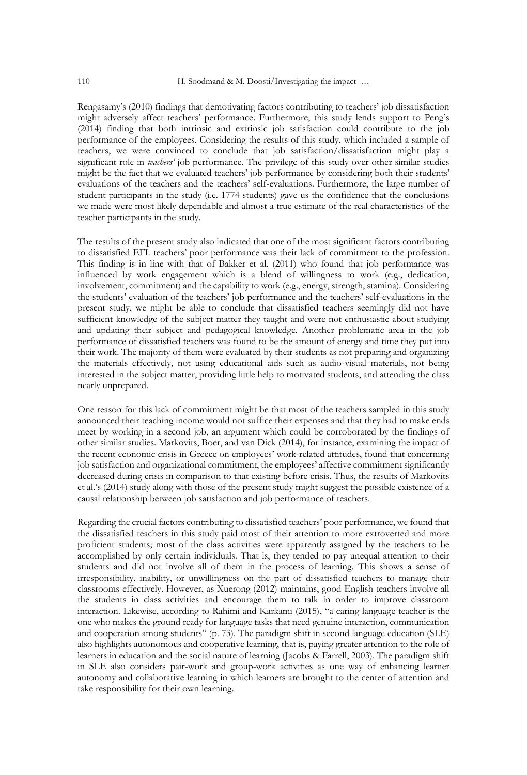Rengasamy's (2010) findings that demotivating factors contributing to teachers' job dissatisfaction might adversely affect teachers' performance. Furthermore, this study lends support to Peng's (2014) finding that both intrinsic and extrinsic job satisfaction could contribute to the job performance of the employees. Considering the results of this study, which included a sample of teachers, we were convinced to conclude that job satisfaction/dissatisfaction might play a significant role in *teachers'* job performance. The privilege of this study over other similar studies might be the fact that we evaluated teachers' job performance by considering both their students' evaluations of the teachers and the teachers' self-evaluations. Furthermore, the large number of student participants in the study (i.e. 1774 students) gave us the confidence that the conclusions we made were most likely dependable and almost a true estimate of the real characteristics of the teacher participants in the study.

The results of the present study also indicated that one of the most significant factors contributing to dissatisfied EFL teachers' poor performance was their lack of commitment to the profession. This finding is in line with that of Bakker et al. (2011) who found that job performance was influenced by work engagement which is a blend of willingness to work (e.g., dedication, involvement, commitment) and the capability to work (e.g., energy, strength, stamina). Considering the students' evaluation of the teachers' job performance and the teachers' self-evaluations in the present study, we might be able to conclude that dissatisfied teachers seemingly did not have sufficient knowledge of the subject matter they taught and were not enthusiastic about studying and updating their subject and pedagogical knowledge. Another problematic area in the job performance of dissatisfied teachers was found to be the amount of energy and time they put into their work. The majority of them were evaluated by their students as not preparing and organizing the materials effectively, not using educational aids such as audio-visual materials, not being interested in the subject matter, providing little help to motivated students, and attending the class nearly unprepared.

One reason for this lack of commitment might be that most of the teachers sampled in this study announced their teaching income would not suffice their expenses and that they had to make ends meet by working in a second job, an argument which could be corroborated by the findings of other similar studies. Markovits, Boer, and van Dick (2014), for instance, examining the impact of the recent economic crisis in Greece on employees' work-related attitudes, found that concerning job satisfaction and organizational commitment, the employees' affective commitment significantly decreased during crisis in comparison to that existing before crisis. Thus, the results of Markovits et al.'s (2014) study along with those of the present study might suggest the possible existence of a causal relationship between job satisfaction and job performance of teachers.

Regarding the crucial factors contributing to dissatisfied teachers' poor performance, we found that the dissatisfied teachers in this study paid most of their attention to more extroverted and more proficient students; most of the class activities were apparently assigned by the teachers to be accomplished by only certain individuals. That is, they tended to pay unequal attention to their students and did not involve all of them in the process of learning. This shows a sense of irresponsibility, inability, or unwillingness on the part of dissatisfied teachers to manage their classrooms effectively. However, as Xuerong (2012) maintains, good English teachers involve all the students in class activities and encourage them to talk in order to improve classroom interaction. Likewise, according to Rahimi and Karkami (2015), "a caring language teacher is the one who makes the ground ready for language tasks that need genuine interaction, communication and cooperation among students" (p. 73). The paradigm shift in second language education (SLE) also highlights autonomous and cooperative learning, that is, paying greater attention to the role of learners in education and the social nature of learning (Jacobs & Farrell, 2003). The paradigm shift in SLE also considers pair-work and group-work activities as one way of enhancing learner autonomy and collaborative learning in which learners are brought to the center of attention and take responsibility for their own learning.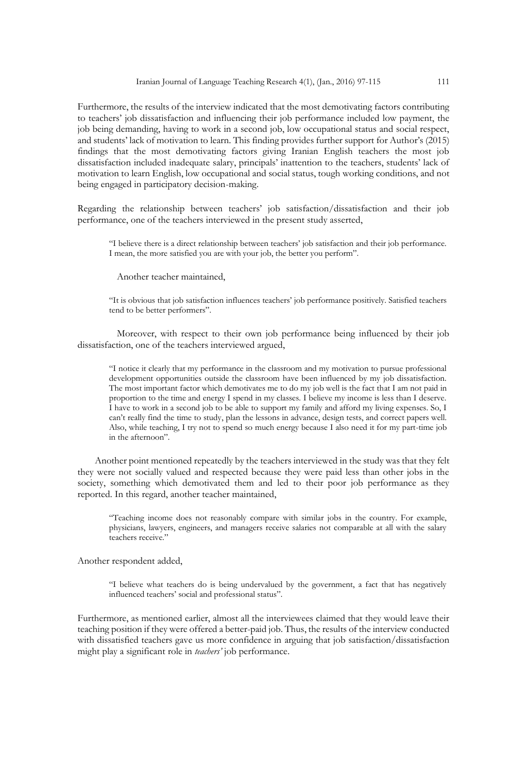Furthermore, the results of the interview indicated that the most demotivating factors contributing to teachers' job dissatisfaction and influencing their job performance included low payment, the job being demanding, having to work in a second job, low occupational status and social respect, and students' lack of motivation to learn. This finding provides further support for Author's (2015) findings that the most demotivating factors giving Iranian English teachers the most job dissatisfaction included inadequate salary, principals' inattention to the teachers, students' lack of motivation to learn English, low occupational and social status, tough working conditions, and not being engaged in participatory decision-making.

Regarding the relationship between teachers' job satisfaction/dissatisfaction and their job performance, one of the teachers interviewed in the present study asserted,

"I believe there is a direct relationship between teachers' job satisfaction and their job performance. I mean, the more satisfied you are with your job, the better you perform".

Another teacher maintained,

"It is obvious that job satisfaction influences teachers' job performance positively. Satisfied teachers tend to be better performers".

Moreover, with respect to their own job performance being influenced by their job dissatisfaction, one of the teachers interviewed argued,

"I notice it clearly that my performance in the classroom and my motivation to pursue professional development opportunities outside the classroom have been influenced by my job dissatisfaction. The most important factor which demotivates me to do my job well is the fact that I am not paid in proportion to the time and energy I spend in my classes. I believe my income is less than I deserve. I have to work in a second job to be able to support my family and afford my living expenses. So, I can't really find the time to study, plan the lessons in advance, design tests, and correct papers well. Also, while teaching, I try not to spend so much energy because I also need it for my part-time job in the afternoon".

 Another point mentioned repeatedly by the teachers interviewed in the study was that they felt they were not socially valued and respected because they were paid less than other jobs in the society, something which demotivated them and led to their poor job performance as they reported. In this regard, another teacher maintained,

"Teaching income does not reasonably compare with similar jobs in the country. For example, physicians, lawyers, engineers, and managers receive salaries not comparable at all with the salary teachers receive."

Another respondent added,

"I believe what teachers do is being undervalued by the government, a fact that has negatively influenced teachers' social and professional status".

Furthermore, as mentioned earlier, almost all the interviewees claimed that they would leave their teaching position if they were offered a better-paid job. Thus, the results of the interview conducted with dissatisfied teachers gave us more confidence in arguing that job satisfaction/dissatisfaction might play a significant role in *teachers'* job performance.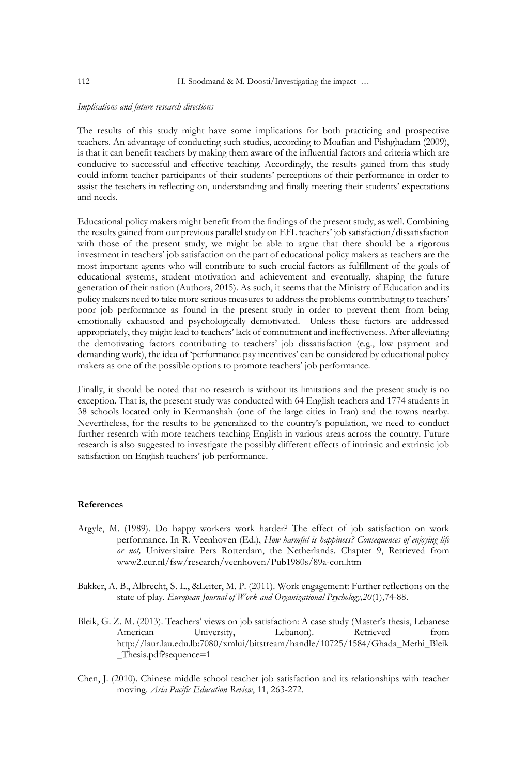#### *Implications and future research directions*

The results of this study might have some implications for both practicing and prospective teachers. An advantage of conducting such studies, according to Moafian and Pishghadam (2009), is that it can benefit teachers by making them aware of the influential factors and criteria which are conducive to successful and effective teaching. Accordingly, the results gained from this study could inform teacher participants of their students' perceptions of their performance in order to assist the teachers in reflecting on, understanding and finally meeting their students' expectations and needs.

Educational policy makers might benefit from the findings of the present study, as well. Combining the results gained from our previous parallel study on EFL teachers' job satisfaction/dissatisfaction with those of the present study, we might be able to argue that there should be a rigorous investment in teachers' job satisfaction on the part of educational policy makers as teachers are the most important agents who will contribute to such crucial factors as fulfillment of the goals of educational systems, student motivation and achievement and eventually, shaping the future generation of their nation (Authors, 2015). As such, it seems that the Ministry of Education and its policy makers need to take more serious measures to address the problems contributing to teachers' poor job performance as found in the present study in order to prevent them from being emotionally exhausted and psychologically demotivated. Unless these factors are addressed appropriately, they might lead to teachers' lack of commitment and ineffectiveness. After alleviating the demotivating factors contributing to teachers' job dissatisfaction (e.g., low payment and demanding work), the idea of 'performance pay incentives' can be considered by educational policy makers as one of the possible options to promote teachers' job performance.

Finally, it should be noted that no research is without its limitations and the present study is no exception. That is, the present study was conducted with 64 English teachers and 1774 students in 38 schools located only in Kermanshah (one of the large cities in Iran) and the towns nearby. Nevertheless, for the results to be generalized to the country's population, we need to conduct further research with more teachers teaching English in various areas across the country. Future research is also suggested to investigate the possibly different effects of intrinsic and extrinsic job satisfaction on English teachers' job performance.

### **References**

- Argyle, M. (1989). Do happy workers work harder? The effect of job satisfaction on work performance. In R. Veenhoven (Ed.), *How harmful is happiness? Consequences of enjoying life or not,* Universitaire Pers Rotterdam, the Netherlands. Chapter 9, Retrieved from www2.eur.nl/fsw/research/veenhoven/Pub1980s/89a-con.htm
- Bakker, A. B., Albrecht, S. L., &Leiter, M. P. (2011). Work engagement: Further reflections on the state of play. *European Journal of Work and Organizational Psychology,20*(1),74-88.
- Bleik, G. Z. M. (2013). Teachers' views on job satisfaction: A case study (Master's thesis, Lebanese American University, Lebanon). Retrieved from http://laur.lau.edu.lb:7080/xmlui/bitstream/handle/10725/1584/Ghada\_Merhi\_Bleik \_Thesis.pdf?sequence=1
- Chen, J. (2010). Chinese middle school teacher job satisfaction and its relationships with teacher moving. *Asia Pacific Education Review*, 11, 263-272.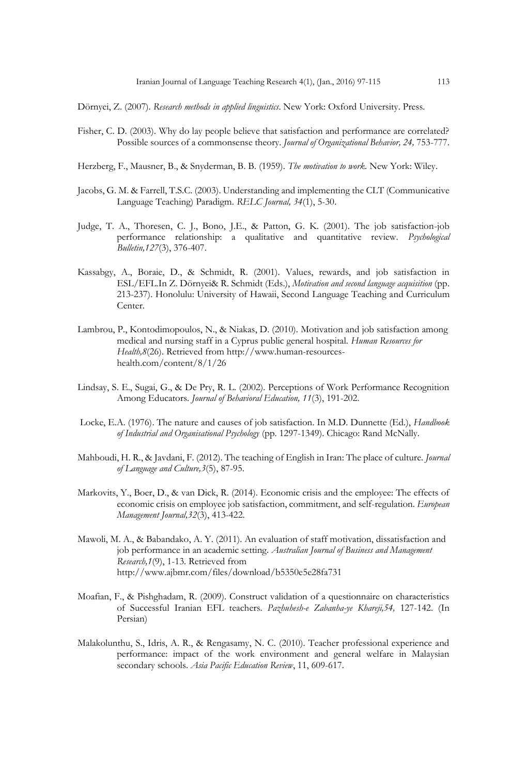Dörnyei, Z. (2007). *Research methods in applied linguistics*. New York: Oxford University. Press.

- Fisher, C. D. (2003). Why do lay people believe that satisfaction and performance are correlated? Possible sources of a commonsense theory. *Journal of Organizational Behavior, 24,* 753-777.
- Herzberg, F., Mausner, B., & Snyderman, B. B. (1959). *The motivation to work.* New York: Wiley.
- Jacobs, G. M. & Farrell, T.S.C. (2003). Understanding and implementing the CLT (Communicative Language Teaching) Paradigm. *RELC Journal, 34*(1), 5-30.
- Judge, T. A., Thoresen, C. J., Bono, J.E., & Patton, G. K. (2001). The job satisfaction-job performance relationship: a qualitative and quantitative review. *Psychological Bulletin,127*(3), 376-407.
- Kassabgy, A., Boraie, D., & Schmidt, R. (2001). Values, rewards, and job satisfaction in ESL/EFL.In Z. Dörnyei& R. Schmidt (Eds.), *Motivation and second language acquisition* (pp. 213-237). Honolulu: University of Hawaii, Second Language Teaching and Curriculum Center.
- Lambrou, P., Kontodimopoulos, N., & Niakas, D. (2010). Motivation and job satisfaction among medical and nursing staff in a Cyprus public general hospital. *Human Resources for Health,8*(26). Retrieved fro[m http://www.human-resources](http://www.human-resources-health.com/content/8/1/26)[health.com/content/8/1/26](http://www.human-resources-health.com/content/8/1/26)
- Lindsay, S. E., Sugai, G., & De Pry, R. L. (2002). Perceptions of Work Performance Recognition Among Educators. *Journal of Behavioral Education, 11*(3), 191-202.
- Locke, E.A. (1976). The nature and causes of job satisfaction. In M.D. Dunnette (Ed.), *Handbook of Industrial and Organisational Psychology* (pp. 1297-1349). Chicago: Rand McNally.
- Mahboudi, H. R., & Javdani, F. (2012). The teaching of English in Iran: The place of culture. *Journal of Language and Culture,3*(5), 87-95.
- Markovits, Y., Boer, D., & van Dick, R. (2014). Economic crisis and the employee: The effects of economic crisis on employee job satisfaction, commitment, and self-regulation. *European Management Journal,32*(3), 413-422.
- Mawoli, M. A., & Babandako, A. Y. (2011). An evaluation of staff motivation, dissatisfaction and job performance in an academic setting. *Australian Journal of Business and Management Research,1*(9), 1-13. Retrieved from <http://www.ajbmr.com/files/download/b5350e5e28fa731>
- Moafian, F., & Pishghadam, R. (2009). Construct validation of a questionnaire on characteristics of Successful Iranian EFL teachers. *Pazhuhesh-e Zabanha-ye Khareji,54,* 127-142. (In Persian)
- Malakolunthu, S., Idris, A. R., & Rengasamy, N. C. (2010). Teacher professional experience and performance: impact of the work environment and general welfare in Malaysian secondary schools. *Asia Pacific Education Review*, 11, 609-617.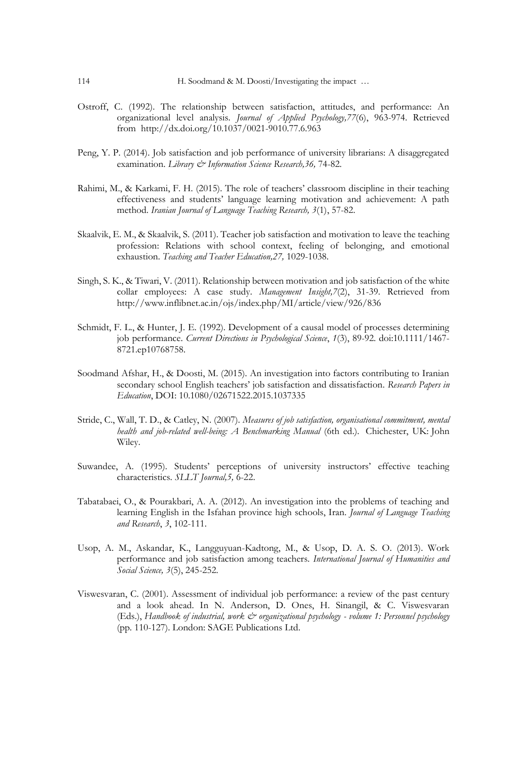- Ostroff, C. (1992). The relationship between satisfaction, attitudes, and performance: An organizational level analysis. *Journal of Applied Psychology,77*(6), 963-974. Retrieved from [http://dx.doi.org/10.1037/0021-9010.77.6.963](http://psycnet.apa.org/doi/10.1037/0021-9010.77.6.963)
- Peng, Y. P. (2014). Job satisfaction and job performance of university librarians: A disaggregated examination. *Library & Information Science Research,36,* 74-82.
- Rahimi, M., & Karkami, F. H. (2015). The role of teachers' classroom discipline in their teaching effectiveness and students' language learning motivation and achievement: A path method. *Iranian Journal of Language Teaching Research, 3*(1), 57-82.
- Skaalvik, E. M., & Skaalvik, S. (2011). Teacher job satisfaction and motivation to leave the teaching profession: Relations with school context, feeling of belonging, and emotional exhaustion. *Teaching and Teacher Education,27,* 1029-1038.
- Singh, S. K., & Tiwari, V. (2011). Relationship between motivation and job satisfaction of the white collar employees: A case study. *Management Insight,7*(2), 31-39. Retrieved from <http://www.inflibnet.ac.in/ojs/index.php/MI/article/view/926/836>
- Schmidt, F. L., & Hunter, J. E. (1992). Development of a causal model of processes determining job performance. *Current Directions in Psychological Science*, *1*(3), 89-92. doi:10.1111/1467- 8721.ep10768758.
- Soodmand Afshar, H., & Doosti, M. (2015). An investigation into factors contributing to Iranian secondary school English teachers' job satisfaction and dissatisfaction. *Research Papers in Education*, DOI: 10.1080/02671522.2015.1037335
- Stride, C., Wall, T. D., & Catley, N. (2007). *Measures of job satisfaction, organisational commitment, mental health and job-related well-being: A Benchmarking Manual* (6th ed.). Chichester, UK: John Wiley.
- Suwandee, A. (1995). Students' perceptions of university instructors' effective teaching characteristics. *SLLT Journal,5,* 6-22.
- Tabatabaei, O., & Pourakbari, A. A. (2012). An investigation into the problems of teaching and learning English in the Isfahan province high schools, Iran. *Journal of Language Teaching and Research*, *3*, 102-111.
- Usop, A. M., Askandar, K., Langguyuan-Kadtong, M., & Usop, D. A. S. O. (2013). Work performance and job satisfaction among teachers. *International Journal of Humanities and Social Science, 3*(5), 245-252.
- Viswesvaran, C. (2001). Assessment of individual job performance: a review of the past century and a look ahead. In N. Anderson, D. Ones, H. Sinangil, & C. Viswesvaran (Eds.), *Handbook of industrial, work & organizational psychology - volume 1: Personnel psychology*  (pp. 110-127). London: SAGE Publications Ltd.